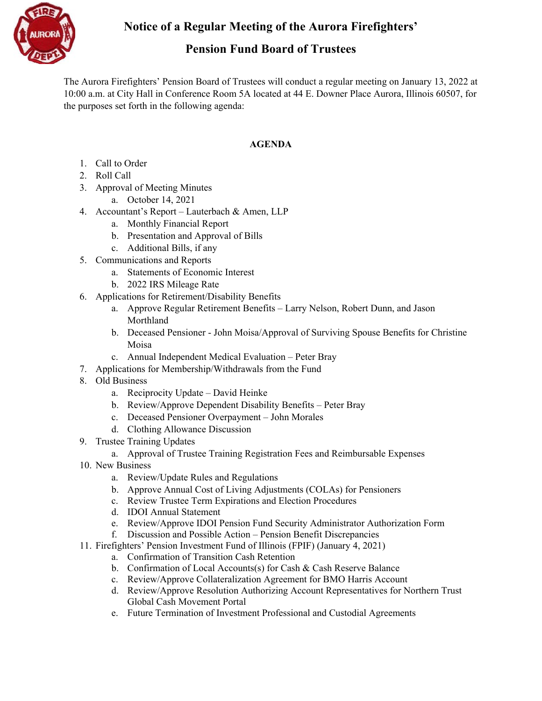**Notice of a Regular Meeting of the Aurora Firefighters'** 

## **Pension Fund Board of Trustees**

The Aurora Firefighters' Pension Board of Trustees will conduct a regular meeting on January 13, 2022 at 10:00 a.m. at City Hall in Conference Room 5A located at 44 E. Downer Place Aurora, Illinois 60507, for the purposes set forth in the following agenda:

## **AGENDA**

- 1. Call to Order
- 2. Roll Call
- 3. Approval of Meeting Minutes
	- a. October 14, 2021
- 4. Accountant's Report Lauterbach & Amen, LLP
	- a. Monthly Financial Report
	- b. Presentation and Approval of Bills
	- c. Additional Bills, if any
- 5. Communications and Reports
	- a. Statements of Economic Interest
	- b. 2022 IRS Mileage Rate
- 6. Applications for Retirement/Disability Benefits
	- a. Approve Regular Retirement Benefits Larry Nelson, Robert Dunn, and Jason Morthland
	- b. Deceased Pensioner John Moisa/Approval of Surviving Spouse Benefits for Christine Moisa
	- c. Annual Independent Medical Evaluation Peter Bray
- 7. Applications for Membership/Withdrawals from the Fund
- 8. Old Business
	- a. Reciprocity Update David Heinke
	- b. Review/Approve Dependent Disability Benefits Peter Bray
	- c. Deceased Pensioner Overpayment John Morales
	- d. Clothing Allowance Discussion
- 9. Trustee Training Updates
	- a. Approval of Trustee Training Registration Fees and Reimbursable Expenses
- 10. New Business
	- a. Review/Update Rules and Regulations
	- b. Approve Annual Cost of Living Adjustments (COLAs) for Pensioners
	- c. Review Trustee Term Expirations and Election Procedures
	- d. IDOI Annual Statement
	- e. Review/Approve IDOI Pension Fund Security Administrator Authorization Form
	- f. Discussion and Possible Action Pension Benefit Discrepancies
- 11. Firefighters' Pension Investment Fund of Illinois (FPIF) (January 4, 2021)
	- a. Confirmation of Transition Cash Retention
	- b. Confirmation of Local Accounts(s) for Cash & Cash Reserve Balance
	- c. Review/Approve Collateralization Agreement for BMO Harris Account
	- d. Review/Approve Resolution Authorizing Account Representatives for Northern Trust Global Cash Movement Portal
	- e. Future Termination of Investment Professional and Custodial Agreements